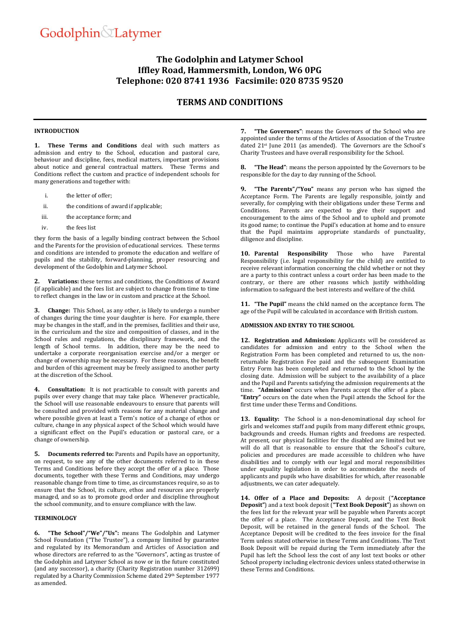# **The Godolphin and Latymer School Iffley Road, Hammersmith, London, W6 0PG Telephone: 020 8741 1936 Facsimile: 020 8735 9520**

## **TERMS AND CONDITIONS**

#### **INTRODUCTION**

**1. These Terms and Conditions** deal with such matters as admission and entry to the School, education and pastoral care, behaviour and discipline, fees, medical matters, important provisions about notice and general contractual matters. These Terms and Conditions reflect the custom and practice of independent schools for many generations and together with:

- i. the letter of offer;
- ii. the conditions of award if applicable;
- iii. the acceptance form; and
- iv. the fees list

they form the basis of a legally binding contract between the School and the Parents for the provision of educational services. These terms and conditions are intended to promote the education and welfare of pupils and the stability, forward-planning, proper resourcing and development of the Godolphin and Latymer School.

**2. Variations:** these terms and conditions, the Conditions of Award (if applicable) and the fees list are subject to change from time to time to reflect changes in the law or in custom and practice at the School.

**3. Change:** This School, as any other, is likely to undergo a number of changes during the time your daughter is here. For example, there may be changes in the staff, and in the premises, facilities and their use, in the curriculum and the size and composition of classes, and in the School rules and regulations, the disciplinary framework, and the length of School terms. In addition, there may be the need to undertake a corporate reorganisation exercise and/or a merger or change of ownership may be necessary. For these reasons, the benefit and burden of this agreement may be freely assigned to another party at the discretion of the School.

**4. Consultation:** It is not practicable to consult with parents and pupils over every change that may take place. Whenever practicable, the School will use reasonable endeavours to ensure that parents will be consulted and provided with reasons for any material change and where possible given at least a Term's notice of a change of ethos or culture, change in any physical aspect of the School which would have a significant effect on the Pupil's education or pastoral care, or a change of ownership.

**5. Documents referred to:** Parents and Pupils have an opportunity, on request, to see any of the other documents referred to in these Terms and Conditions before they accept the offer of a place. Those documents, together with these Terms and Conditions, may undergo reasonable change from time to time, as circumstances require, so as to ensure that the School, its culture, ethos and resources are properly managed, and so as to promote good order and discipline throughout the school community, and to ensure compliance with the law.

#### **TERMINOLOGY**

**6. "The School"/"We"/"Us":** means The Godolphin and Latymer School Foundation ("The Trustee"), a company limited by guarantee and regulated by its Memorandum and Articles of Association and whose directors are referred to as the "Governors", acting as trustee of the Godolphin and Latymer School as now or in the future constituted (and any successor), a charity (Charity Registration number 312699) regulated by a Charity Commission Scheme dated 29th September 1977 as amended.

**7. "The Governors"**: means the Governors of the School who are appointed under the terms of the Articles of Association of the Trustee dated 21st June 2011 (as amended). The Governors are the School's Charity Trustees and have overall responsibility for the School.

**8. "The Head"**: means the person appointed by the Governors to be responsible for the day to day running of the School.

**9. "The Parents"/"You"** means any person who has signed the Acceptance Form. The Parents are legally responsible, jointly and severally, for complying with their obligations under these Terms and Conditions. Parents are expected to give their support and encouragement to the aims of the School and to uphold and promote its good name; to continue the Pupil's education at home and to ensure that the Pupil maintains appropriate standards of punctuality, diligence and discipline.

**10. Parental Responsibility** Those who have Parental Responsibility (i.e. legal responsibility for the child) are entitled to receive relevant information concerning the child whether or not they are a party to this contract unless a court order has been made to the contrary, or there are other reasons which justify withholding information to safeguard the best interests and welfare of the child.

**11. "The Pupil"** means the child named on the acceptance form. The age of the Pupil will be calculated in accordance with British custom.

## **ADMISSION AND ENTRY TO THE SCHOOL**

<span id="page-0-0"></span>**12. Registration and Admission:** Applicants will be considered as candidates for admission and entry to the School when the Registration Form has been completed and returned to us, the nonreturnable Registration Fee paid and the subsequent Examination Entry Form has been completed and returned to the School by the closing date. Admission will be subject to the availability of a place and the Pupil and Parents satisfying the admission requirements at the time. **"Admission"** occurs when Parents accept the offer of a place. **"Entry"** occurs on the date when the Pupil attends the School for the first time under these Terms and Conditions.

**13. Equality:** The School is a non-denominational day school for girls and welcomes staff and pupils from many different ethnic groups, backgrounds and creeds. Human rights and freedoms are respected. At present, our physical facilities for the disabled are limited but we will do all that is reasonable to ensure that the School's culture, policies and procedures are made accessible to children who have disabilities and to comply with our legal and moral responsibilities under equality legislation in order to accommodate the needs of applicants and pupils who have disabilities for which, after reasonable adjustments, we can cater adequately.

**14. Offer of a Place and Deposits:** A deposit (**"Acceptance Deposit"**) and a text book deposit (**"Text Book Deposit"**) as shown on the fees list for the relevant year will be payable when Parents accept the offer of a place. The Acceptance Deposit, and the Text Book Deposit, will be retained in the general funds of the School. The Acceptance Deposit will be credited to the fees invoice for the final Term unless stated otherwise in these Terms and Conditions. The Text Book Deposit will be repaid during the Term immediately after the Pupil has left the School less the cost of any lost text books or other School property including electronic devices unless stated otherwise in these Terms and Conditions.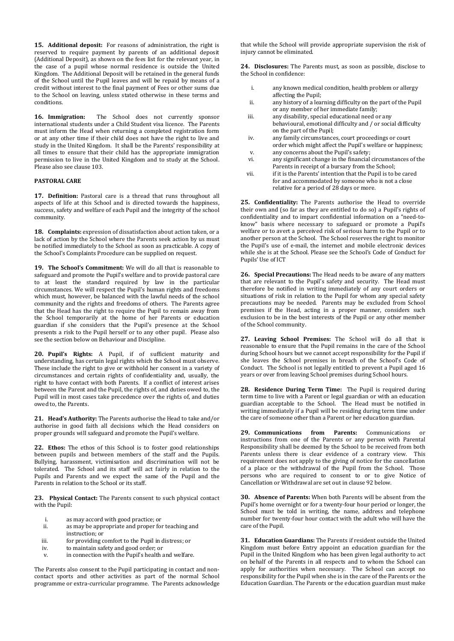**15. Additional deposit:** For reasons of administration, the right is reserved to require payment by parents of an additional deposit (Additional Deposit), as shown on the fees list for the relevant year, in the case of a pupil whose normal residence is outside the United Kingdom. The Additional Deposit will be retained in the general funds of the School until the Pupil leaves and will be repaid by means of a credit without interest to the final payment of Fees or other sums due to the School on leaving, unless stated otherwise in these terms and conditions.

**16. Immigration:** The School does not currently sponsor international students under a Child Student visa licence. The Parents must inform the Head when returning a completed registration form or at any other time if their child does not have the right to live and study in the United Kingdom. It shall be the Parents' responsibility at all times to ensure that their child has the appropriate immigration permission to live in the United Kingdom and to study at the School. Please also see clause 103.

#### **PASTORAL CARE**

**17. Definition:** Pastoral care is a thread that runs throughout all aspects of life at this School and is directed towards the happiness, success, safety and welfare of each Pupil and the integrity of the school community.

<span id="page-1-1"></span>**18. Complaints:** expression of dissatisfaction about action taken, or a lack of action by the School where the Parents seek action by us must be notified immediately to the School as soon as practicable. A copy of the School's Complaints Procedure can be supplied on request.

<span id="page-1-0"></span>**19. The School's Commitment:** We will do all that is reasonable to safeguard and promote the Pupil's welfare and to provide pastoral care to at least the standard required by law in the particular circumstances. We will respect the Pupil's human rights and freedoms which must, however, be balanced with the lawful needs of the school community and the rights and freedoms of others. The Parents agree that the Head has the right to require the Pupil to remain away from the School temporarily at the home of her Parents or education guardian if she considers that the Pupil's presence at the School presents a risk to the Pupil herself or to any other pupil. Please also see the section below on Behaviour and Discipline.

**20. Pupil's Rights:** A Pupil, if of sufficient maturity and understanding, has certain legal rights which the School must observe. These include the right to give or withhold her consent in a variety of circumstances and certain rights of confidentiality and, usually, the right to have contact with both Parents. If a conflict of interest arises between the Parent and the Pupil, the rights of, and duties owed to, the Pupil will in most cases take precedence over the rights of, and duties owed to, the Parents.

**21. Head's Authority:** The Parents authorise the Head to take and/or authorise in good faith all decisions which the Head considers on proper grounds will safeguard and promote the Pupil's welfare.

**22. Ethos:** The ethos of this School is to foster good relationships between pupils and between members of the staff and the Pupils. Bullying, harassment, victimisation and discrimination will not be tolerated. The School and its staff will act fairly in relation to the Pupils and Parents and we expect the same of the Pupil and the Parents in relation to the School or its staff.

**23. Physical Contact:** The Parents consent to such physical contact with the Pupil:

- i. as may accord with good practice; or
- ii. as may be appropriate and proper for teaching and instruction; or
- iii. for providing comfort to the Pupil in distress; or
- iv. to maintain safety and good order; or
- v. in connection with the Pupil's health and welfare.

The Parents also consent to the Pupil participating in contact and noncontact sports and other activities as part of the normal School programme or extra-curricular programme. The Parents acknowledge that while the School will provide appropriate supervision the risk of injury cannot be eliminated.

**24. Disclosures:** The Parents must, as soon as possible, disclose to the School in confidence:

- i. any known medical condition, health problem or allergy affecting the Pupil;
- ii. any history of a learning difficulty on the part of the Pupil or any member of her immediate family;
- iii. any disability, special educational need or any behavioural, emotional difficulty and / or social difficulty on the part of the Pupil;
- iv. any family circumstances, court proceedings or court order which might affect the Pupil's welfare or happiness; v. any concerns about the Pupil's safety;
- vi. any significant change in the financial circumstances of the Parents in receipt of a bursary from the School;
- vii. if it is the Parents' intention that the Pupil is to be cared for and accommodated by someone who is not a close relative for a period of 28 days or more.

**25. Confidentiality:** The Parents authorise the Head to override their own and (so far as they are entitled to do so) a Pupil's rights of confidentiality and to impart confidential information on a "need-toknow" basis where necessary to safeguard or promote a Pupil's welfare or to avert a perceived risk of serious harm to the Pupil or to another person at the School. The School reserves the right to monitor the Pupil's use of e-mail, the internet and mobile electronic devices while she is at the School. Please see the School's Code of Conduct for Pupils' Use of ICT

**26. Special Precautions:** The Head needs to be aware of any matters that are relevant to the Pupil's safety and security. The Head must therefore be notified in writing immediately of any court orders or situations of risk in relation to the Pupil for whom any special safety precautions may be needed. Parents may be excluded from School premises if the Head, acting in a proper manner, considers such exclusion to be in the best interests of the Pupil or any other member of the School community.

**27. Leaving School Premises:** The School will do all that is reasonable to ensure that the Pupil remains in the care of the School during School hours but we cannot accept responsibility for the Pupil if she leaves the School premises in breach of the School's Code of Conduct. The School is not legally entitled to prevent a Pupil aged 16 years or over from leaving School premises during School hours.

**28. Residence During Term Time:** The Pupil is required during term time to live with a Parent or legal guardian or with an education guardian acceptable to the School. The Head must be notified in writing immediately if a Pupil will be residing during term time under the care of someone other than a Parent or her education guardian.

**29. Communications from Parents:** Communications or instructions from one of the Parents or any person with Parental Responsibility shall be deemed by the School to be received from both Parents unless there is clear evidence of a contrary view. This requirement does not apply to the giving of notice for the cancellation of a place or the withdrawal of the Pupil from the School. Those persons who are required to consent to or to give Notice of Cancellation or Withdrawal are set out in clause [92](#page-5-0) below.

**30. Absence of Parents:** When both Parents will be absent from the Pupil's home overnight or for a twenty-four hour period or longer, the School must be told in writing, the name, address and telephone number for twenty-four hour contact with the adult who will have the care of the Pupil.

**31. Education Guardians:** The Parents if resident outside the United Kingdom must before Entry appoint an education guardian for the Pupil in the United Kingdom who has been given legal authority to act on behalf of the Parents in all respects and to whom the School can apply for authorities when necessary. The School can accept no responsibility for the Pupil when she is in the care of the Parents or the Education Guardian. The Parents or the education guardian must make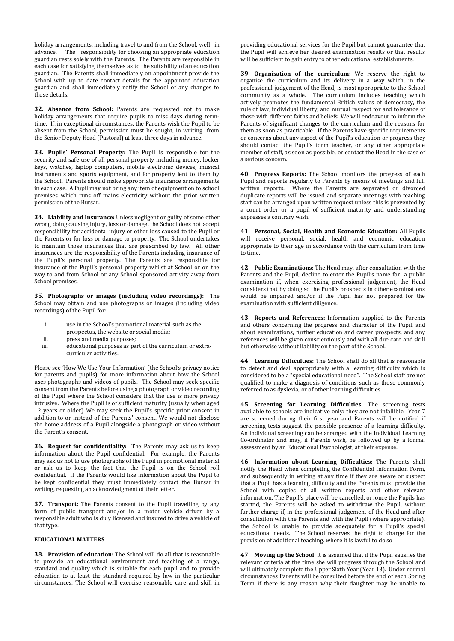holiday arrangements, including travel to and from the School, well in advance. The responsibility for choosing an appropriate education guardian rests solely with the Parents. The Parents are responsible in each case for satisfying themselves as to the suitability of an education guardian. The Parents shall immediately on appointment provide the School with up to date contact details for the appointed education guardian and shall immediately notify the School of any changes to those details.

**32. Absence from School:** Parents are requested not to make holiday arrangements that require pupils to miss days during termtime. If, in exceptional circumstances, the Parents wish the Pupil to be absent from the School, permission must be sought, in writing from the Senior Deputy Head (Pastoral) at least three days in advance.

**33. Pupils' Personal Property:** The Pupil is responsible for the security and safe use of all personal property including money, locker keys, watches, laptop computers, mobile electronic devices, musical instruments and sports equipment, and for property lent to them by the School. Parents should make appropriate insurance arrangements in each case. A Pupil may not bring any item of equipment on to school premises which runs off mains electricity without the prior written permission of the Bursar.

**34. Liability and Insurance:** Unless negligent or guilty of some other wrong doing causing injury, loss or damage, the School does not accept responsibility for accidental injury or other loss caused to the Pupil or the Parents or for loss or damage to property. The School undertakes to maintain those insurances that are prescribed by law. All other insurances are the responsibility of the Parents including insurance of the Pupil's personal property. The Parents are responsible for insurance of the Pupil's personal property whilst at School or on the way to and from School or any School sponsored activity away from School premises.

**35. Photographs or images (including video recordings):** The School may obtain and use photographs or images (including video recordings) of the Pupil for:

- i. use in the School's promotional material such as the
- prospectus, the website or social media;
- ii. press and media purposes;
- iii. educational purposes as part of the curriculum or extracurricular activities.

Please see 'How We Use Your Information' (the School's privacy notice for parents and pupils) for more information about how the School uses photographs and videos of pupils. The School may seek specific consent from the Parents before using a photograph or video recording of the Pupil where the School considers that the use is more privacy intrusive. Where the Pupil is of sufficient maturity (usually when aged 12 years or older) We may seek the Pupil's specific prior consent in addition to or instead of the Parents' consent. We would not disclose the home address of a Pupil alongside a photograph or video without the Parent's consent.

**36. Request for confidentiality:** The Parents may ask us to keep information about the Pupil confidential. For example, the Parents may ask us not to use photographs of the Pupil in promotional material or ask us to keep the fact that the Pupil is on the School roll confidential. If the Parents would like information about the Pupil to be kept confidential they must immediately contact the Bursar in writing, requesting an acknowledgment of their letter.

**37. Transport:** The Parents consent to the Pupil travelling by any form of public transport and/or in a motor vehicle driven by a responsible adult who is duly licensed and insured to drive a vehicle of that type.

### **EDUCATIONAL MATTERS**

**38. Provision of education:** The School will do all that is reasonable to provide an educational environment and teaching of a range, standard and quality which is suitable for each pupil and to provide education to at least the standard required by law in the particular circumstances. The School will exercise reasonable care and skill in providing educational services for the Pupil but cannot guarantee that the Pupil will achieve her desired examination results or that results will be sufficient to gain entry to other educational establishments.

**39. Organisation of the curriculum:** We reserve the right to organise the curriculum and its delivery in a way which, in the professional judgement of the Head, is most appropriate to the School community as a whole. The curriculum includes teaching which actively promotes the fundamental British values of democracy, the rule of law, individual liberty, and mutual respect for and tolerance of those with different faiths and beliefs. We will endeavour to inform the Parents of significant changes to the curriculum and the reasons for them as soon as practicable. If the Parents have specific requirements or concerns about any aspect of the Pupil's education or progress they should contact the Pupil's form teacher, or any other appropriate member of staff, as soon as possible, or contact the Head in the case of a serious concern.

**40. Progress Reports:** The School monitors the progress of each Pupil and reports regularly to Parents by means of meetings and full written reports. Where the Parents are separated or divorced duplicate reports will be issued and separate meetings with teaching staff can be arranged upon written request unless this is prevented by a court order or a pupil of sufficient maturity and understanding expresses a contrary wish.

**41. Personal, Social, Health and Economic Education:** All Pupils will receive personal, social, health and economic education appropriate to their age in accordance with the curriculum from time to time.

**42. Public Examinations:** The Head may, after consultation with the Parents and the Pupil, decline to enter the Pupil's name for a public examination if, when exercising professional judgement, the Head considers that by doing so the Pupil's prospects in other examinations would be impaired and/or if the Pupil has not prepared for the examination with sufficient diligence.

**43. Reports and References:** Information supplied to the Parents and others concerning the progress and character of the Pupil, and about examinations, further education and career prospects, and any references will be given conscientiously and with all due care and skill but otherwise without liability on the part of the School.

**44. Learning Difficulties:** The School shall do all that is reasonable to detect and deal appropriately with a learning difficulty which is considered to be a "special educational need". The School staff are not qualified to make a diagnosis of conditions such as those commonly referred to as dyslexia, or of other learning difficulties.

**45. Screening for Learning Difficulties:** The screening tests available to schools are indicative only: they are not infallible. Year 7 are screened during their first year and Parents will be notified if screening tests suggest the possible presence of a learning difficulty. An individual screening can be arranged with the Individual Learning Co-ordinator and may, if Parents wish, be followed up by a formal assessment by an Educational Psychologist, at their expense.

**46. Information about Learning Difficulties:** The Parents shall notify the Head when completing the Confidential Information Form, and subsequently in writing at any time if they are aware or suspect that a Pupil has a learning difficulty and the Parents must provide the School with copies of all written reports and other relevant information. The Pupil's place will be cancelled, or, once the Pupils has started, the Parents will be asked to withdraw the Pupil, without further charge if, in the professional judgement of the Head and after consultation with the Parents and with the Pupil (where appropriate), the School is unable to provide adequately for a Pupil's special educational needs. The School reserves the right to charge for the provision of additional teaching. where it is lawful to do so

**47. Moving up the School**: It is assumed that if the Pupil satisfies the relevant criteria at the time she will progress through the School and will ultimately complete the Upper Sixth Year (Year 13). Under normal circumstances Parents will be consulted before the end of each Spring Term if there is any reason why their daughter may be unable to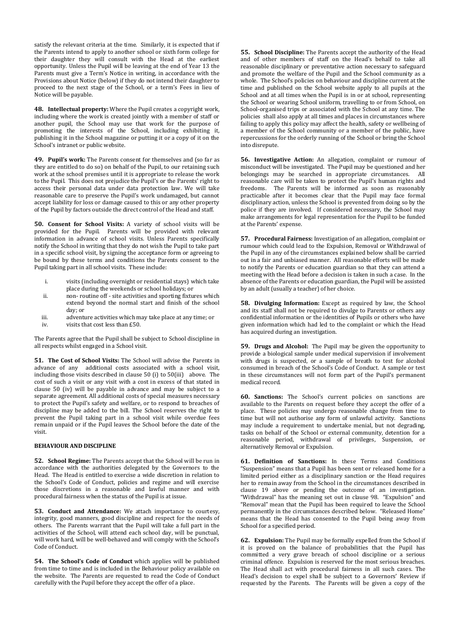satisfy the relevant criteria at the time. Similarly, it is expected that if the Parents intend to apply to another school or sixth form college for their daughter they will consult with the Head at the earliest opportunity. Unless the Pupil will be leaving at the end of Year 13 the Parents must give a Term's Notice in writing, in accordance with the Provisions about Notice (below) if they do not intend their daughter to proceed to the next stage of the School, or a term's Fees in lieu of Notice will be payable.

**48. Intellectual property:** Where the Pupil creates a copyright work, including where the work is created jointly with a member of staff or another pupil, the School may use that work for the purpose of promoting the interests of the School, including exhibiting it, publishing it in the School magazine or putting it or a copy of it on the School's intranet or public website.

**49. Pupil's work:** The Parents consent for themselves and (so far as they are entitled to do so) on behalf of the Pupil, to our retaining such work at the school premises until it is appropriate to release the work to the Pupil. This does not prejudice the Pupil's or the Parents' right to access their personal data under data protection law. We will take reasonable care to preserve the Pupil's work undamaged, but cannot accept liability for loss or damage caused to this or any other property of the Pupil by factors outside the direct control of the Head and staff.

**50. Consent for School Visits:** A variety of school visits will be provided for the Pupil. Parents will be provided with relevant information in advance of school visits. Unless Parents specifically notify the School in writing that they do not wish the Pupil to take part in a specific school visit, by signing the acceptance form or agreeing to be bound by these terms and conditions the Parents consent to the Pupil taking part in all school visits. These include:

- i. visits (including overnight or residential stays) which take place during the weekends or school holidays; or
- ii. non- routine off site activities and sporting fixtures which extend beyond the normal start and finish of the school day; or
- iii. adventure activities which may take place at any time; or
- iv. visits that cost less than £50.

The Parents agree that the Pupil shall be subject to School discipline in all respects whilst engaged in a School visit.

**51. The Cost of School Visits:** The School will advise the Parents in advance of any additional costs associated with a school visit, including those visits described in clause 50 (i) to 50(iii) above. The cost of such a visit or any visit with a cost in excess of that stated in clause 50 (iv) will be payable in advance and may be subject to a separate agreement. All additional costs of special measures necessary to protect the Pupil's safety and welfare, or to respond to breaches of discipline may be added to the bill. The School reserves the right to prevent the Pupil taking part in a school visit while overdue fees remain unpaid or if the Pupil leaves the School before the date of the visit.

## **BEHAVIOUR AND DISCIPLINE**

**52. School Regime:** The Parents accept that the School will be run in accordance with the authorities delegated by the Governors to the Head. The Head is entitled to exercise a wide discretion in relation to the School's Code of Conduct, policies and regime and will exercise those discretions in a reasonable and lawful manner and with procedural fairness when the status of the Pupil is at issue.

**53. Conduct and Attendance:** We attach importance to courtesy, integrity, good manners, good discipline and respect for the needs of others. The Parents warrant that the Pupil will take a full part in the activities of the School, will attend each school day, will be punctual, will work hard, will be well-behaved and will comply with the School's Code of Conduct.

**54. The School's Code of Conduct** which applies will be published from time to time and is included in the Behaviour policy available on the website. The Parents are requested to read the Code of Conduct carefully with the Pupil before they accept the offer of a place.

**55. School Discipline:** The Parents accept the authority of the Head and of other members of staff on the Head's behalf to take all reasonable disciplinary or preventative action necessary to safeguard and promote the welfare of the Pupil and the School community as a whole. The School's policies on behaviour and discipline current at the time and published on the School website apply to all pupils at the School and at all times when the Pupil is in or at school, representing the School or wearing School uniform, travelling to or from School, on School-organised trips or associated with the School at any time. The policies shall also apply at all times and places in circumstances where failing to apply this policy may affect the health, safety or wellbeing of a member of the School community or a member of the public, have repercussions for the orderly running of the School or bring the School into disrepute.

**56. Investigative Action:** An allegation, complaint or rumour of misconduct will be investigated. The Pupil may be questioned and her belongings may be searched in appropriate circumstances. All reasonable care will be taken to protect the Pupil's human rights and freedoms. The Parents will be informed as soon as reasonably practicable after it becomes clear that the Pupil may face formal disciplinary action, unless the School is prevented from doing so by the police if they are involved. If considered necessary, the School may make arrangements for legal representation for the Pupil to be funded at the Parents' expense.

**57. Procedural Fairness:** Investigation of an allegation, complaint or rumour which could lead to the Expulsion, Removal or Withdrawal of the Pupil in any of the circumstances explained below shall be carried out in a fair and unbiased manner. All reasonable efforts will be made to notify the Parents or education guardian so that they can attend a meeting with the Head before a decision is taken in such a case. In the absence of the Parents or education guardian, the Pupil will be assisted by an adult (usually a teacher) of her choice.

**58. Divulging Information:** Except as required by law, the School and its staff shall not be required to divulge to Parents or others any confidential information or the identities of Pupils or others who have given information which had led to the complaint or which the Head has acquired during an investigation.

**59. Drugs and Alcohol:** The Pupil may be given the opportunity to provide a biological sample under medical supervision if involvement with drugs is suspected, or a sample of breath to test for alcohol consumed in breach of the School's Code of Conduct. A sample or test in these circumstances will not form part of the Pupil's permanent medical record.

**60. Sanctions:** The School's current policies on sanctions are available to the Parents on request before they accept the offer of a place. These policies may undergo reasonable change from time to time but will not authorise any form of unlawful activity. Sanctions may include a requirement to undertake menial, but not degrading, tasks on behalf of the School or external community, detention for a reasonable period, withdrawal of privileges, Suspension, or alternatively Removal or Expulsion.

**61. Definition of Sanctions:** In these Terms and Conditions "Suspension" means that a Pupil has been sent or released home for a limited period either as a disciplinary sanction or the Head requires her to remain away from the School in the circumstances described in clause [19](#page-1-0) above or pending the outcome of an investigation. "Withdrawal" has the meaning set out in clause [98](#page-6-0). "Expulsion" and "Removal" mean that the Pupil has been required to leave the School permanently in the circumstances described below. "Released Home" means that the Head has consented to the Pupil being away from School for a specified period.

**62. Expulsion:** The Pupil may be formally expelled from the School if it is proved on the balance of probabilities that the Pupil has committed a very grave breach of school discipline or a serious criminal offence. Expulsion is reserved for the most serious breaches. The Head shall act with procedural fairness in all such cases. The Head's decision to expel shall be subject to a Governors' Review if requested by the Parents. The Parents will be given a copy of the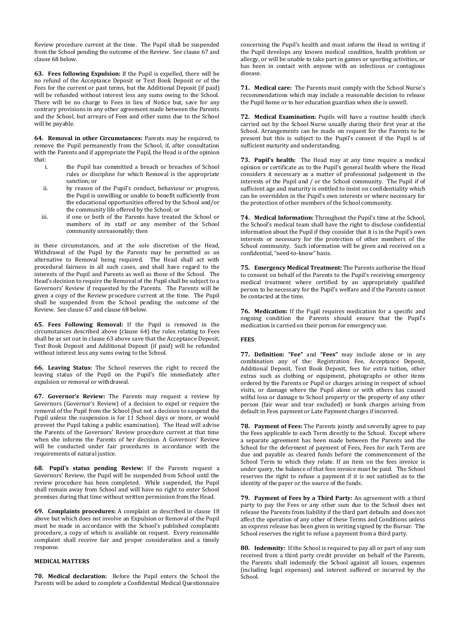Review procedure current at the time. The Pupil shall be suspended from the School pending the outcome of the Review. See clause [67](#page-4-0) and clause [68](#page-4-1) below.

<span id="page-4-3"></span>**63. Fees following Expulsion:** If the Pupil is expelled, there will be no refund of the Acceptance Deposit or Text Book Deposit or of the Fees for the current or past terms, but the Additional Deposit (if paid) will be refunded without interest less any sums owing to the School. There will be no charge to Fees in lieu of Notice but, save for any contrary provisions in any other agreement made between the Parents and the School, but arrears of Fees and other sums due to the School will be payable.

<span id="page-4-2"></span>**64. Removal in other Circumstances:** Parents may be required, to remove the Pupil permanently from the School, if, after consultation with the Parents and if appropriate the Pupil, the Head is of the opinion that:

- i. the Pupil has committed a breach or breaches of School rules or discipline for which Removal is the appropriate sanction; or
- ii. by reason of the Pupil's conduct, behaviour or progress, the Pupil is unwilling or unable to benefit sufficiently from the educational opportunities offered by the School and/or the community life offered by the School; or
- iii. if one or both of the Parents have treated the School or members of its staff or any member of the School community unreasonably; then

in these circumstances, and at the sole discretion of the Head, Withdrawal of the Pupil by the Parents may be permitted as an alternative to Removal being required. The Head shall act with procedural fairness in all such cases, and shall have regard to the interests of the Pupil and Parents as well as those of the School. The Head's decision to require the Removal of the Pupil shall be subject to a Governors' Review if requested by the Parents. The Parents will be given a copy of the Review procedure current at the time. The Pupil shall be suspended from the School pending the outcome of the Review. See clause [67](#page-4-0) and clause [68](#page-4-1) below.

**65. Fees Following Removal:** If the Pupil is removed in the circumstances described above (clause [64\)](#page-4-2) the rules relating to Fees shall be as set out in claus[e 63](#page-4-3) above save that the Acceptance Deposit, Text Book Deposit and Additional Deposit (if paid) will be refunded without interest less any sums owing to the School.

**66. Leaving Status:** The School reserves the right to record the leaving status of the Pupil on the Pupil's file immediately after expulsion or removal or withdrawal.

<span id="page-4-0"></span>**67. Governor's Review:** The Parents may request a review by Governors (Governor's Review) of a decision to expel or require the removal of the Pupil from the School (but not a decision to suspend the Pupil unless the suspension is for 11 School days or more, or would prevent the Pupil taking a public examination). The Head will advise the Parents of the Governors' Review procedure current at that time when she informs the Parents of her decision. A Governors' Review will be conducted under fair procedures in accordance with the requirements of natural justice.

<span id="page-4-1"></span>**68. Pupil's status pending Review:** If the Parents request a Governors' Review, the Pupil will be suspended from School until the review procedure has been completed. While suspended, the Pupil shall remain away from School and will have no right to enter School premises during that time without written permission from the Head.

**69. Complaints procedures:** A complaint as described in clause [18](#page-1-1) above but which does not involve an Expulsion or Removal of the Pupil must be made in accordance with the School's published complaints procedure, a copy of which is available on request. Every reasonable complaint shall receive fair and proper consideration and a timely response.

## **MEDICAL MATTERS**

**70. Medical declaration:** Before the Pupil enters the School the Parents will be asked to complete a Confidential Medical Questionnaire

concerning the Pupil's health and must inform the Head in writing if the Pupil develops any known medical condition, health problem or allergy, or will be unable to take part in games or sporting activities, or has been in contact with anyone with an infectious or contagious disease.

**71. Medical care:** The Parents must comply with the School Nurse's recommendations which may include a reasonable decision to release the Pupil home or to her education guardian when she is unwell.

**72. Medical Examination:** Pupils will have a routine health check carried out by the School Nurse usually during their first year at the School. Arrangements can be made on request for the Parents to be present but this is subject to the Pupil's consent if the Pupil is of sufficient maturity and understanding.

**73. Pupil's health:** The Head may at any time require a medical opinion or certificate as to the Pupil's general health where the Head considers it necessary as a matter of professional judgement in the interests of the Pupil and / or the School community. The Pupil if of sufficient age and maturity is entitled to insist on confidentiality which can be overridden in the Pupil's own interests or where necessary for the protection of other members of the School community.

**74. Medical Information:** Throughout the Pupil's time at the School, the School's medical team shall have the right to disclose confidential information about the Pupil if they consider that it is in the Pupil's own interests or necessary for the protection of other members of the School community. Such information will be given and received on a confidential, "need-to-know" basis.

**75. Emergency Medical Treatment:** The Parents authorise the Head to consent on behalf of the Parents to the Pupil's receiving emergency medical treatment where certified by an appropriately qualified person to be necessary for the Pupil's welfare and if the Parents cannot be contacted at the time.

**76. Medication:** If the Pupil requires medication for a specific and ongoing condition the Parents should ensure that the Pupil's medication is carried on their person for emergency use.

## **FEES**

**77. Definition: "Fee"** and **"Fees"** may include alone or in any combination any of the: Registration Fee, Acceptance Deposit, Additional Deposit, Text Book Deposit, fees for extra tuition, other extras such as clothing or equipment, photographs or other items ordered by the Parents or Pupil or charges arising in respect of school visits, or damage where the Pupil alone or with others has caused wilful loss or damage to School property or the property of any other person (fair wear and tear excluded) or bank charges arising from default in Fees payment or Late Payment charges if incurred.

**78. Payment of Fees:** The Parents jointly and severally agree to pay the Fees applicable to each Term directly to the School. Except where a separate agreement has been made between the Parents and the School for the deferment of payment of Fees, Fees for each Term are due and payable as cleared funds before the commencement of the School Term to which they relate. If an item on the fees invoice is under query, the balance of that fees invoice must be paid. The School reserves the right to refuse a payment if it is not satisfied as to the identity of the payer or the source of the funds.

**79. Payment of Fees by a Third Party:** An agreement with a third party to pay the Fees or any other sum due to the School does not release the Parents from liability if the third part defaults and does not affect the operation of any other of these Terms and Conditions unless an express release has been given in writing signed by the Bursar. The School reserves the right to refuse a payment from a third party.

**80. Indemnity:** If the School is required to pay all or part of any sum received from a third party credit provider on behalf of the Parents, the Parents shall indemnify the School against all losses, expenses (including legal expenses) and interest suffered or incurred by the School.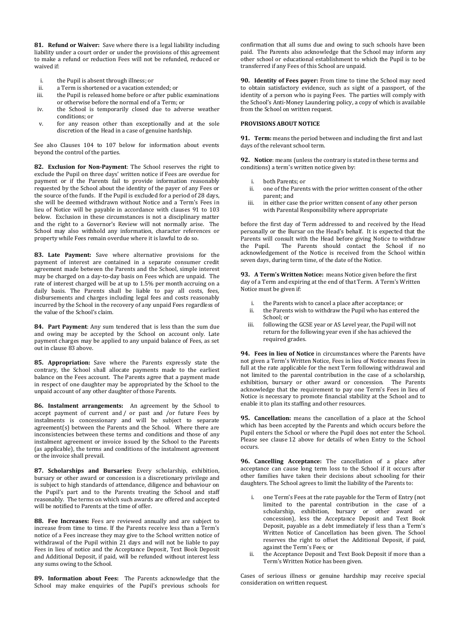**81. Refund or Waiver:** Save where there is a legal liability including liability under a court order or under the provisions of this agreement to make a refund or reduction Fees will not be refunded, reduced or waived if:

- i. the Pupil is absent through illness; or<br>ii. a Term is shortened or a vacation exte
- a Term is shortened or a vacation extended; or
- iii. the Pupil is released home before or after public examinations or otherwise before the normal end of a Term; or
- iv. the School is temporarily closed due to adverse weather conditions; or
- v. for any reason other than exceptionally and at the sole discretion of the Head in a case of genuine hardship.

See also Clauses [104](#page-6-1) to [107](#page-6-2) below for information about events beyond the control of the parties.

<span id="page-5-3"></span>**82. Exclusion for Non-Payment**: The School reserves the right to exclude the Pupil on three days' written notice if Fees are overdue for payment or if the Parents fail to provide information reasonably requested by the School about the identity of the payer of any Fees or the source of the funds. If the Pupil is excluded for a period of 28 days, she will be deemed withdrawn without Notice and a Term's Fees in lieu of Notice will be payable in accordance with clauses [91](#page-5-1) to 103 below. Exclusion in these circumstances is not a disciplinary matter and the right to a Governor's Review will not normally arise. The School may also withhold any information, character references or property while Fees remain overdue where it is lawful to do so.

<span id="page-5-2"></span>**83. Late Payment:** Save where alternative provisions for the payment of interest are contained in a separate consumer credit agreement made between the Parents and the School, simple interest may be charged on a day-to-day basis on Fees which are unpaid. The rate of interest charged will be at up to 1.5% per month accruing on a daily basis. The Parents shall be liable to pay all costs, fees, disbursements and charges including legal fees and costs reasonably incurred by the School in the recovery of any unpaid Fees regardless of the value of the School's claim.

**84. Part Payment**: Any sum tendered that is less than the sum due and owing may be accepted by the School on account only. Late payment charges may be applied to any unpaid balance of Fees, as set out in clause [83](#page-5-2) above.

**85. Appropriation:** Save where the Parents expressly state the contrary, the School shall allocate payments made to the earliest balance on the Fees account. The Parents agree that a payment made in respect of one daughter may be appropriated by the School to the unpaid account of any other daughter of those Parents.

**86. Instalment arrangements:** An agreement by the School to accept payment of current and / or past and /or future Fees by instalments is concessionary and will be subject to separate agreement(s) between the Parents and the School. Where there are inconsistencies between these terms and conditions and those of any instalment agreement or invoice issued by the School to the Parents (as applicable), the terms and conditions of the instalment agreement or the invoice shall prevail.

**87. Scholarships and Bursaries:** Every scholarship, exhibition, bursary or other award or concession is a discretionary privilege and is subject to high standards of attendance, diligence and behaviour on the Pupil's part and to the Parents treating the School and staff reasonably. The terms on which such awards are offered and accepted will be notified to Parents at the time of offer.

**88. Fee Increases:** Fees are reviewed annually and are subject to increase from time to time. If the Parents receive less than a Term's notice of a Fees increase they may give to the School written notice of withdrawal of the Pupil within 21 days and will not be liable to pay Fees in lieu of notice and the Acceptance Deposit, Text Book Deposit and Additional Deposit, if paid, will be refunded without interest less any sums owing to the School.

**89. Information about Fees:** The Parents acknowledge that the School may make enquiries of the Pupil's previous schools for

confirmation that all sums due and owing to such schools have been paid. The Parents also acknowledge that the School may inform any other school or educational establishment to which the Pupil is to be transferred if any Fees of this School are unpaid.

**90. Identity of Fees payer:** From time to time the School may need to obtain satisfactory evidence, such as sight of a passport, of the identity of a person who is paying Fees. The parties will comply with the School's Anti-Money Laundering policy, a copy of which is available from the School on written request.

#### **PROVISIONS ABOUT NOTICE**

<span id="page-5-1"></span>**91. Term:** means the period between and including the first and last days of the relevant school term.

<span id="page-5-0"></span>**92. Notice**: means (unless the contrary is stated in these terms and conditions) a term's written notice given by:

- i. both Parents; or
- ii. one of the Parents with the prior written consent of the other parent; and
- iii. in either case the prior written consent of any other person with Parental Responsibility where appropriate

before the first day of Term addressed to and received by the Head personally or the Bursar on the Head's behalf. It is expected that the Parents will consult with the Head before giving Notice to withdraw the Pupil. The Parents should contact the School if no acknowledgement of the Notice is received from the School within seven days, during term time, of the date of the Notice.

**93. A Term's Written Notice:** means Notice given before the first day of a Term and expiring at the end of that Term. A Term's Written Notice must be given if:

- i. the Parents wish to cancel a place after acceptance; or
- ii. the Parents wish to withdraw the Pupil who has entered the School; or
- iii. following the GCSE year or AS Level year, the Pupil will not return for the following year even if she has achieved the required grades.

**94. Fees in lieu of Notice** in circumstances where the Parents have not given a Term's Written Notice, Fees in lieu of Notice means Fees in full at the rate applicable for the next Term following withdrawal and not limited to the parental contribution in the case of a scholarship, exhibition, bursary or other award or concession. The Parents acknowledge that the requirement to pay one Term's Fees in lieu of Notice is necessary to promote financial stability at the School and to enable it to plan its staffing and other resources.

**95. Cancellation:** means the cancellation of a place at the School which has been accepted by the Parents and which occurs before the Pupil enters the School or where the Pupil does not enter the School. Please see clause [12](#page-0-0) above for details of when Entry to the School occurs.

**96. Cancelling Acceptance:** The cancellation of a place after acceptance can cause long term loss to the School if it occurs after other families have taken their decisions about schooling for their daughters. The School agrees to limit the liability of the Parents to:

- i. one Term's Fees at the rate payable for the Term of Entry (not limited to the parental contribution in the case of a scholarship, exhibition, bursary or other award or concession), less the Acceptance Deposit and Text Book Deposit, payable as a debt immediately if less than a Term's Written Notice of Cancellation has been given. The School reserves the right to offset the Additional Deposit, if paid, against the Term's Fees; or
- ii. the Acceptance Deposit and Text Book Deposit if more than a Term's Written Notice has been given.

Cases of serious illness or genuine hardship may receive special consideration on written request.